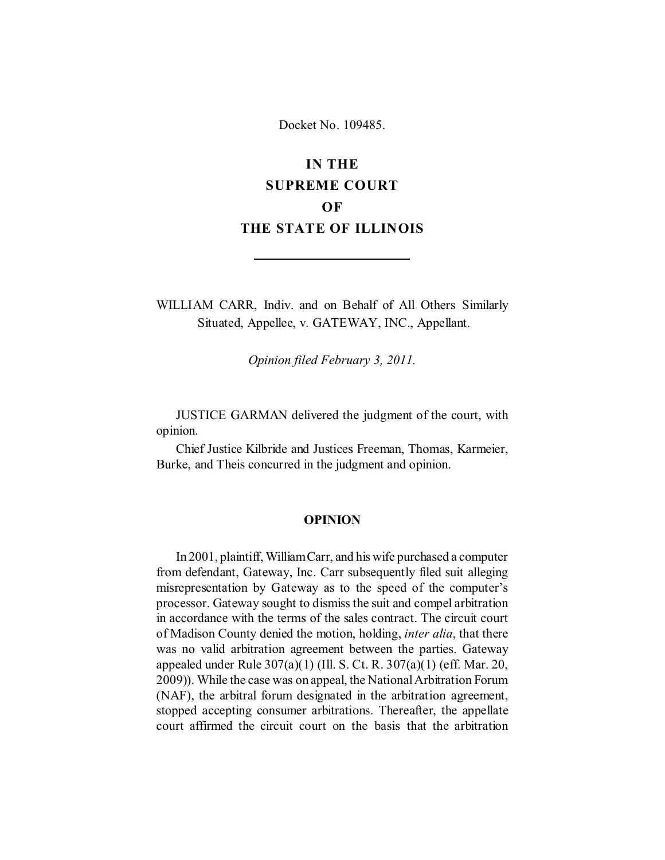Docket No. 109485.

# **IN THE SUPREME COURT OF THE STATE OF ILLINOIS**

WILLIAM CARR, Indiv. and on Behalf of All Others Similarly Situated, Appellee, v. GATEWAY, INC., Appellant.

*Opinion filed February 3, 2011.*

JUSTICE GARMAN delivered the judgment of the court, with opinion.

Chief Justice Kilbride and Justices Freeman, Thomas, Karmeier, Burke, and Theis concurred in the judgment and opinion.

### **OPINION**

In 2001, plaintiff, William Carr, and his wife purchased a computer from defendant, Gateway, Inc. Carr subsequently filed suit alleging misrepresentation by Gateway as to the speed of the computer's processor. Gateway sought to dismiss the suit and compel arbitration in accordance with the terms of the sales contract. The circuit court of Madison County denied the motion, holding, *inter alia*, that there was no valid arbitration agreement between the parties. Gateway appealed under Rule 307(a)(1) (Ill. S. Ct. R. 307(a)(1) (eff. Mar. 20, 2009)). While the case was on appeal, the National Arbitration Forum (NAF), the arbitral forum designated in the arbitration agreement, stopped accepting consumer arbitrations. Thereafter, the appellate court affirmed the circuit court on the basis that the arbitration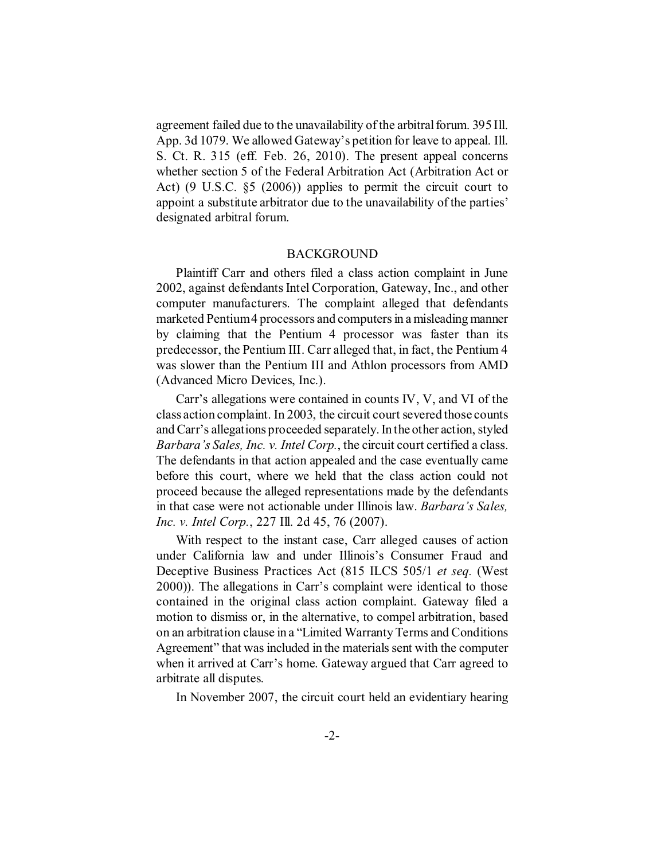agreement failed due to the unavailability of the arbitral forum. 395 Ill. App. 3d 1079. We allowed Gateway's petition for leave to appeal. Ill. S. Ct. R. 315 (eff. Feb. 26, 2010). The present appeal concerns whether section 5 of the Federal Arbitration Act (Arbitration Act or Act) (9 U.S.C. §5 (2006)) applies to permit the circuit court to appoint a substitute arbitrator due to the unavailability of the parties' designated arbitral forum.

#### BACKGROUND

Plaintiff Carr and others filed a class action complaint in June 2002, against defendants Intel Corporation, Gateway, Inc., and other computer manufacturers. The complaint alleged that defendants marketed Pentium 4 processors and computers in a misleading manner by claiming that the Pentium 4 processor was faster than its predecessor, the Pentium III. Carr alleged that, in fact, the Pentium 4 was slower than the Pentium III and Athlon processors from AMD (Advanced Micro Devices, Inc.).

Carr's allegations were contained in counts IV, V, and VI of the class action complaint. In 2003, the circuit court severed those counts and Carr's allegations proceeded separately. In the other action, styled *Barbara's Sales, Inc. v. Intel Corp.*, the circuit court certified a class. The defendants in that action appealed and the case eventually came before this court, where we held that the class action could not proceed because the alleged representations made by the defendants in that case were not actionable under Illinois law. *Barbara's Sales, Inc. v. Intel Corp.*, 227 Ill. 2d 45, 76 (2007).

With respect to the instant case, Carr alleged causes of action under California law and under Illinois's Consumer Fraud and Deceptive Business Practices Act (815 ILCS 505/1 *et seq.* (West 2000)). The allegations in Carr's complaint were identical to those contained in the original class action complaint. Gateway filed a motion to dismiss or, in the alternative, to compel arbitration, based on an arbitration clause in a "Limited Warranty Terms and Conditions Agreement" that was included in the materials sent with the computer when it arrived at Carr's home. Gateway argued that Carr agreed to arbitrate all disputes.

In November 2007, the circuit court held an evidentiary hearing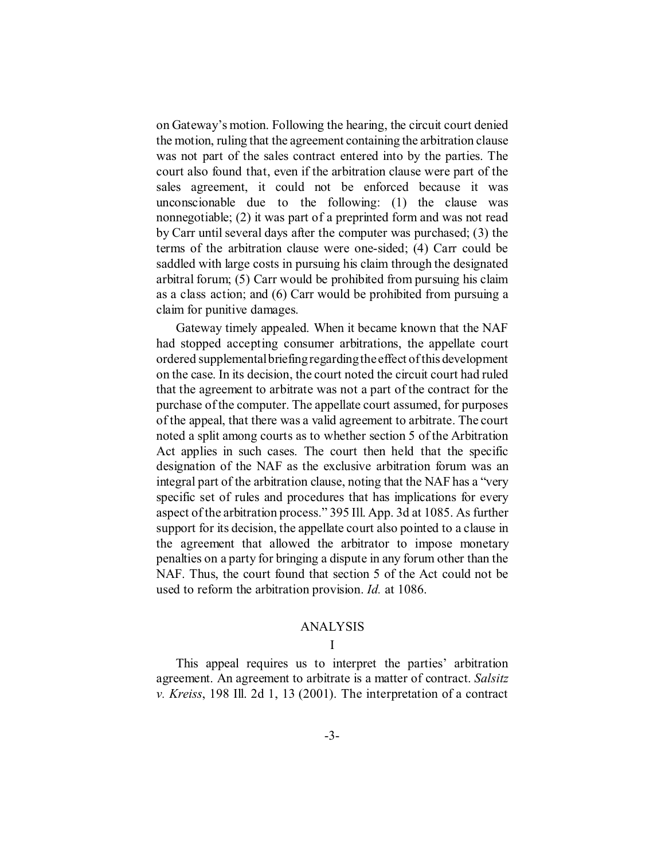on Gateway's motion. Following the hearing, the circuit court denied the motion, ruling that the agreement containing the arbitration clause was not part of the sales contract entered into by the parties. The court also found that, even if the arbitration clause were part of the sales agreement, it could not be enforced because it was unconscionable due to the following: (1) the clause was nonnegotiable; (2) it was part of a preprinted form and was not read by Carr until several days after the computer was purchased; (3) the terms of the arbitration clause were one-sided; (4) Carr could be saddled with large costs in pursuing his claim through the designated arbitral forum; (5) Carr would be prohibited from pursuing his claim as a class action; and (6) Carr would be prohibited from pursuing a claim for punitive damages.

Gateway timely appealed. When it became known that the NAF had stopped accepting consumer arbitrations, the appellate court ordered supplemental briefing regarding the effect of this development on the case. In its decision, the court noted the circuit court had ruled that the agreement to arbitrate was not a part of the contract for the purchase of the computer. The appellate court assumed, for purposes of the appeal, that there was a valid agreement to arbitrate. The court noted a split among courts as to whether section 5 of the Arbitration Act applies in such cases. The court then held that the specific designation of the NAF as the exclusive arbitration forum was an integral part of the arbitration clause, noting that the NAF has a "very specific set of rules and procedures that has implications for every aspect of the arbitration process." 395 Ill. App. 3d at 1085. As further support for its decision, the appellate court also pointed to a clause in the agreement that allowed the arbitrator to impose monetary penalties on a party for bringing a dispute in any forum other than the NAF. Thus, the court found that section 5 of the Act could not be used to reform the arbitration provision. *Id.* at 1086.

### ANALYSIS

## I

This appeal requires us to interpret the parties' arbitration agreement. An agreement to arbitrate is a matter of contract. *Salsitz v. Kreiss*, 198 Ill. 2d 1, 13 (2001). The interpretation of a contract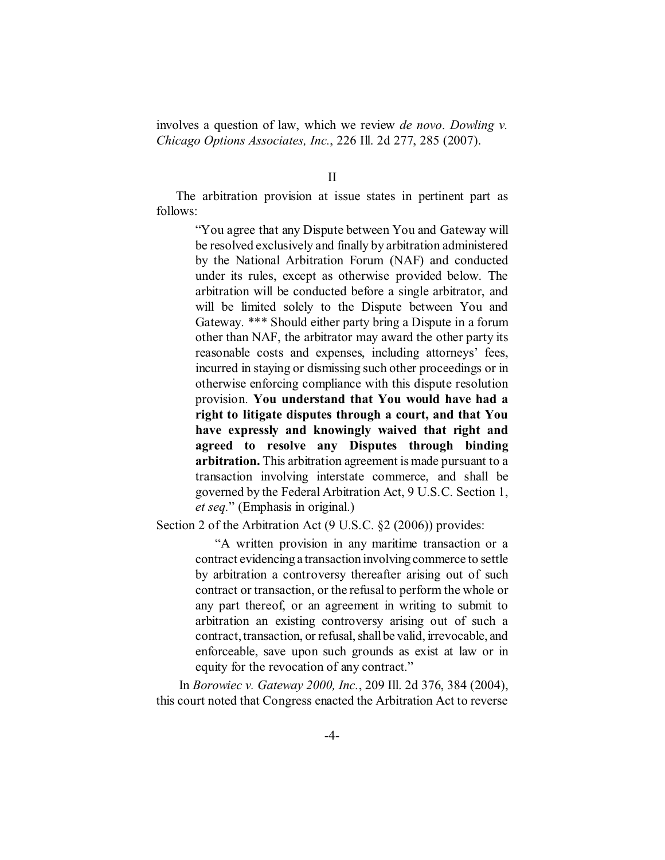involves a question of law, which we review *de novo*. *Dowling v. Chicago Options Associates, Inc.*, 226 Ill. 2d 277, 285 (2007).

II

The arbitration provision at issue states in pertinent part as follows:

> "You agree that any Dispute between You and Gateway will be resolved exclusively and finally by arbitration administered by the National Arbitration Forum (NAF) and conducted under its rules, except as otherwise provided below. The arbitration will be conducted before a single arbitrator, and will be limited solely to the Dispute between You and Gateway. \*\*\* Should either party bring a Dispute in a forum other than NAF, the arbitrator may award the other party its reasonable costs and expenses, including attorneys' fees, incurred in staying or dismissing such other proceedings or in otherwise enforcing compliance with this dispute resolution provision. **You understand that You would have had a right to litigate disputes through a court, and that You have expressly and knowingly waived that right and agreed to resolve any Disputes through binding arbitration.** This arbitration agreement is made pursuant to a transaction involving interstate commerce, and shall be governed by the Federal Arbitration Act, 9 U.S.C. Section 1, *et seq.*" (Emphasis in original.)

Section 2 of the Arbitration Act (9 U.S.C. §2 (2006)) provides:

"A written provision in any maritime transaction or a contract evidencing a transaction involving commerce to settle by arbitration a controversy thereafter arising out of such contract or transaction, or the refusal to perform the whole or any part thereof, or an agreement in writing to submit to arbitration an existing controversy arising out of such a contract, transaction, or refusal, shall be valid, irrevocable, and enforceable, save upon such grounds as exist at law or in equity for the revocation of any contract."

 In *Borowiec v. Gateway 2000, Inc.*, 209 Ill. 2d 376, 384 (2004), this court noted that Congress enacted the Arbitration Act to reverse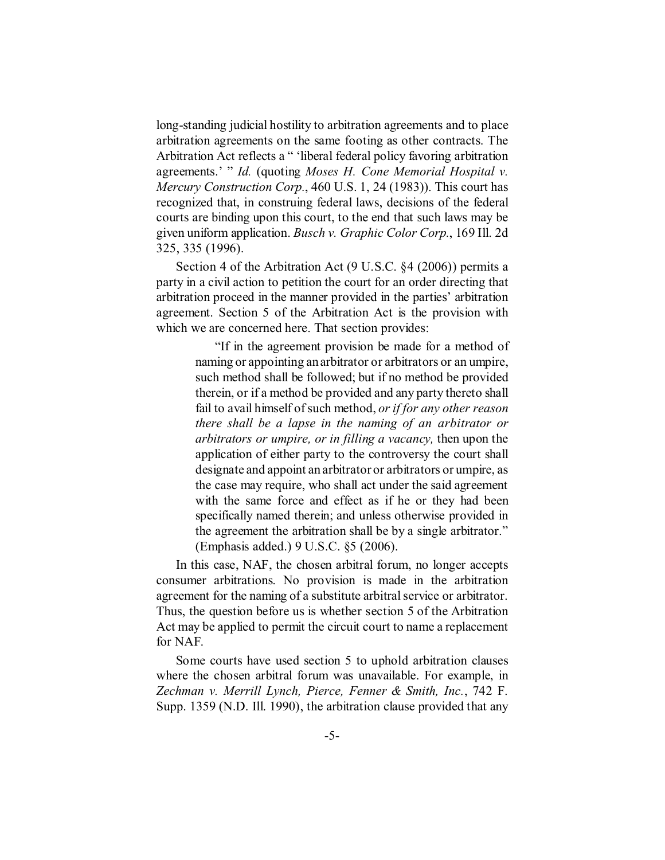long-standing judicial hostility to arbitration agreements and to place arbitration agreements on the same footing as other contracts. The Arbitration Act reflects a " 'liberal federal policy favoring arbitration agreements.' " *Id.* (quoting *Moses H. Cone Memorial Hospital v. Mercury Construction Corp.*, 460 U.S. 1, 24 (1983)). This court has recognized that, in construing federal laws, decisions of the federal courts are binding upon this court, to the end that such laws may be given uniform application. *Busch v. Graphic Color Corp.*, 169 Ill. 2d 325, 335 (1996).

Section 4 of the Arbitration Act (9 U.S.C. §4 (2006)) permits a party in a civil action to petition the court for an order directing that arbitration proceed in the manner provided in the parties' arbitration agreement. Section 5 of the Arbitration Act is the provision with which we are concerned here. That section provides:

> "If in the agreement provision be made for a method of naming or appointing an arbitrator or arbitrators or an umpire, such method shall be followed; but if no method be provided therein, or if a method be provided and any party thereto shall fail to avail himself of such method, *or if for any other reason there shall be a lapse in the naming of an arbitrator or arbitrators or umpire, or in filling a vacancy,* then upon the application of either party to the controversy the court shall designate and appoint an arbitrator or arbitrators or umpire, as the case may require, who shall act under the said agreement with the same force and effect as if he or they had been specifically named therein; and unless otherwise provided in the agreement the arbitration shall be by a single arbitrator." (Emphasis added.) 9 U.S.C. §5 (2006).

In this case, NAF, the chosen arbitral forum, no longer accepts consumer arbitrations. No provision is made in the arbitration agreement for the naming of a substitute arbitral service or arbitrator. Thus, the question before us is whether section 5 of the Arbitration Act may be applied to permit the circuit court to name a replacement for NAF.

Some courts have used section 5 to uphold arbitration clauses where the chosen arbitral forum was unavailable. For example, in *Zechman v. Merrill Lynch, Pierce, Fenner & Smith, Inc.*, 742 F. Supp. 1359 (N.D. Ill. 1990), the arbitration clause provided that any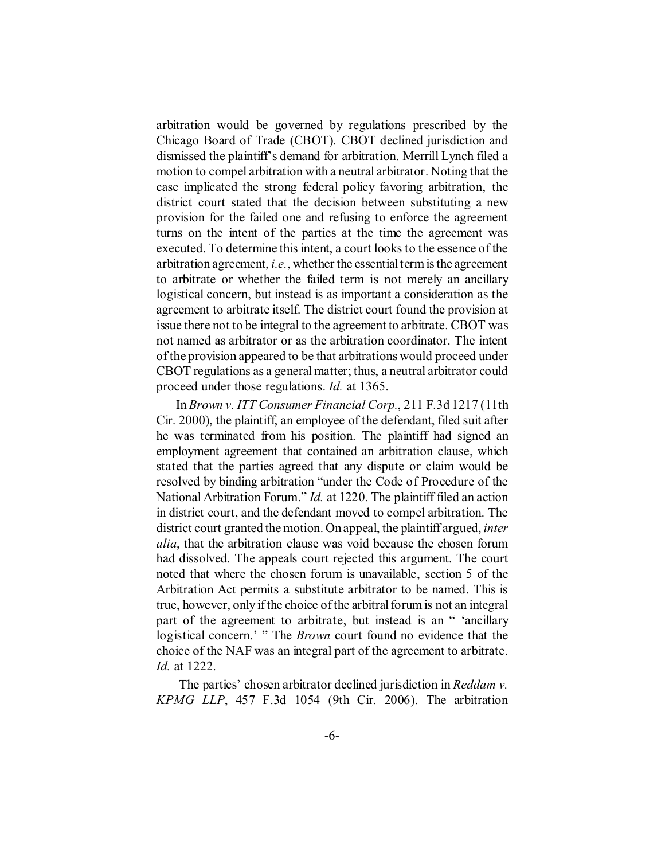arbitration would be governed by regulations prescribed by the Chicago Board of Trade (CBOT). CBOT declined jurisdiction and dismissed the plaintiff's demand for arbitration. Merrill Lynch filed a motion to compel arbitration with a neutral arbitrator. Noting that the case implicated the strong federal policy favoring arbitration, the district court stated that the decision between substituting a new provision for the failed one and refusing to enforce the agreement turns on the intent of the parties at the time the agreement was executed. To determine this intent, a court looks to the essence of the arbitration agreement, *i.e.*, whether the essential term is the agreement to arbitrate or whether the failed term is not merely an ancillary logistical concern, but instead is as important a consideration as the agreement to arbitrate itself. The district court found the provision at issue there not to be integral to the agreement to arbitrate. CBOT was not named as arbitrator or as the arbitration coordinator. The intent of the provision appeared to be that arbitrations would proceed under CBOT regulations as a general matter; thus, a neutral arbitrator could proceed under those regulations. *Id.* at 1365.

In *Brown v. ITT Consumer Financial Corp.*, 211 F.3d 1217 (11th Cir. 2000), the plaintiff, an employee of the defendant, filed suit after he was terminated from his position. The plaintiff had signed an employment agreement that contained an arbitration clause, which stated that the parties agreed that any dispute or claim would be resolved by binding arbitration "under the Code of Procedure of the National Arbitration Forum." *Id.* at 1220. The plaintiff filed an action in district court, and the defendant moved to compel arbitration. The district court granted the motion. On appeal, the plaintiff argued, *inter alia*, that the arbitration clause was void because the chosen forum had dissolved. The appeals court rejected this argument. The court noted that where the chosen forum is unavailable, section 5 of the Arbitration Act permits a substitute arbitrator to be named. This is true, however, only if the choice of the arbitral forum is not an integral part of the agreement to arbitrate, but instead is an " 'ancillary logistical concern.' " The *Brown* court found no evidence that the choice of the NAF was an integral part of the agreement to arbitrate. *Id.* at 1222.

 The parties' chosen arbitrator declined jurisdiction in *Reddam v. KPMG LLP*, 457 F.3d 1054 (9th Cir. 2006). The arbitration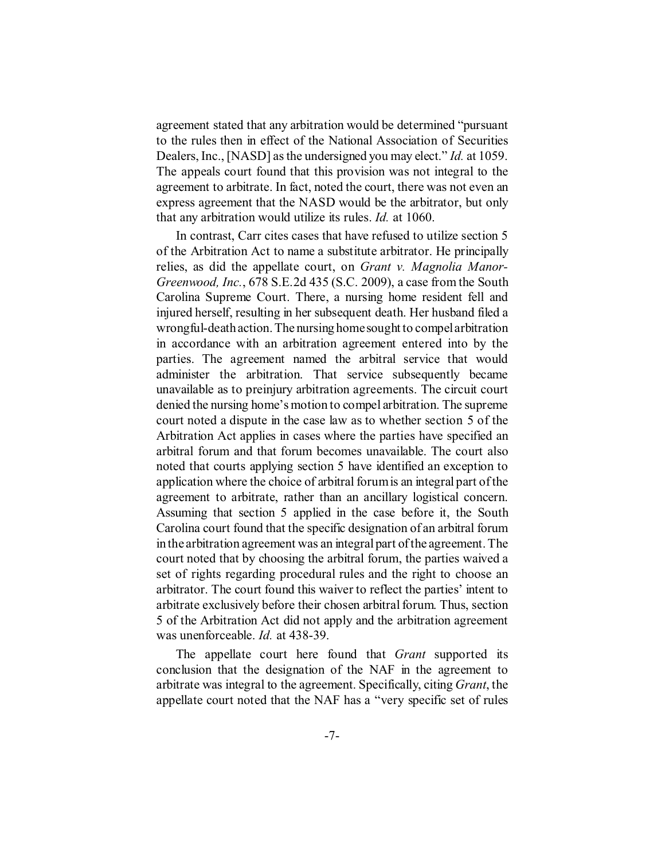agreement stated that any arbitration would be determined "pursuant to the rules then in effect of the National Association of Securities Dealers, Inc., [NASD] as the undersigned you may elect." *Id.* at 1059. The appeals court found that this provision was not integral to the agreement to arbitrate. In fact, noted the court, there was not even an express agreement that the NASD would be the arbitrator, but only that any arbitration would utilize its rules. *Id.* at 1060.

In contrast, Carr cites cases that have refused to utilize section 5 of the Arbitration Act to name a substitute arbitrator. He principally relies, as did the appellate court, on *Grant v. Magnolia Manor-Greenwood, Inc.*, 678 S.E.2d 435 (S.C. 2009), a case from the South Carolina Supreme Court. There, a nursing home resident fell and injured herself, resulting in her subsequent death. Her husband filed a wrongful-death action. The nursing homesought to compel arbitration in accordance with an arbitration agreement entered into by the parties. The agreement named the arbitral service that would administer the arbitration. That service subsequently became unavailable as to preinjury arbitration agreements. The circuit court denied the nursing home's motion to compel arbitration. The supreme court noted a dispute in the case law as to whether section 5 of the Arbitration Act applies in cases where the parties have specified an arbitral forum and that forum becomes unavailable. The court also noted that courts applying section 5 have identified an exception to application where the choice of arbitral forum is an integral part of the agreement to arbitrate, rather than an ancillary logistical concern. Assuming that section 5 applied in the case before it, the South Carolina court found that the specific designation of an arbitral forum in the arbitration agreement was an integral part of the agreement. The court noted that by choosing the arbitral forum, the parties waived a set of rights regarding procedural rules and the right to choose an arbitrator. The court found this waiver to reflect the parties' intent to arbitrate exclusively before their chosen arbitral forum. Thus, section 5 of the Arbitration Act did not apply and the arbitration agreement was unenforceable. *Id.* at 438-39.

The appellate court here found that *Grant* supported its conclusion that the designation of the NAF in the agreement to arbitrate was integral to the agreement. Specifically, citing *Grant*, the appellate court noted that the NAF has a "very specific set of rules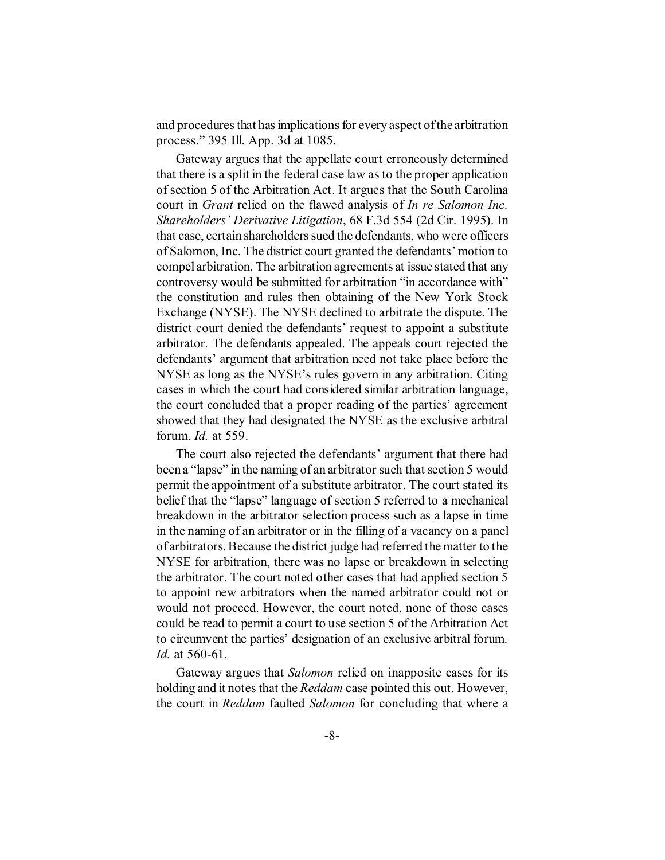and procedures that has implications for every aspect of the arbitration process." 395 Ill. App. 3d at 1085.

Gateway argues that the appellate court erroneously determined that there is a split in the federal case law as to the proper application of section 5 of the Arbitration Act. It argues that the South Carolina court in *Grant* relied on the flawed analysis of *In re Salomon Inc. Shareholders' Derivative Litigation*, 68 F.3d 554 (2d Cir. 1995). In that case, certain shareholders sued the defendants, who were officers of Salomon, Inc. The district court granted the defendants' motion to compel arbitration. The arbitration agreements at issue stated that any controversy would be submitted for arbitration "in accordance with" the constitution and rules then obtaining of the New York Stock Exchange (NYSE). The NYSE declined to arbitrate the dispute. The district court denied the defendants' request to appoint a substitute arbitrator. The defendants appealed. The appeals court rejected the defendants' argument that arbitration need not take place before the NYSE as long as the NYSE's rules govern in any arbitration. Citing cases in which the court had considered similar arbitration language, the court concluded that a proper reading of the parties' agreement showed that they had designated the NYSE as the exclusive arbitral forum. *Id.* at 559.

The court also rejected the defendants' argument that there had been a "lapse" in the naming of an arbitrator such that section 5 would permit the appointment of a substitute arbitrator. The court stated its belief that the "lapse" language of section 5 referred to a mechanical breakdown in the arbitrator selection process such as a lapse in time in the naming of an arbitrator or in the filling of a vacancy on a panel of arbitrators. Because the district judge had referred the matter to the NYSE for arbitration, there was no lapse or breakdown in selecting the arbitrator. The court noted other cases that had applied section 5 to appoint new arbitrators when the named arbitrator could not or would not proceed. However, the court noted, none of those cases could be read to permit a court to use section 5 of the Arbitration Act to circumvent the parties' designation of an exclusive arbitral forum. *Id.* at 560-61.

Gateway argues that *Salomon* relied on inapposite cases for its holding and it notes that the *Reddam* case pointed this out. However, the court in *Reddam* faulted *Salomon* for concluding that where a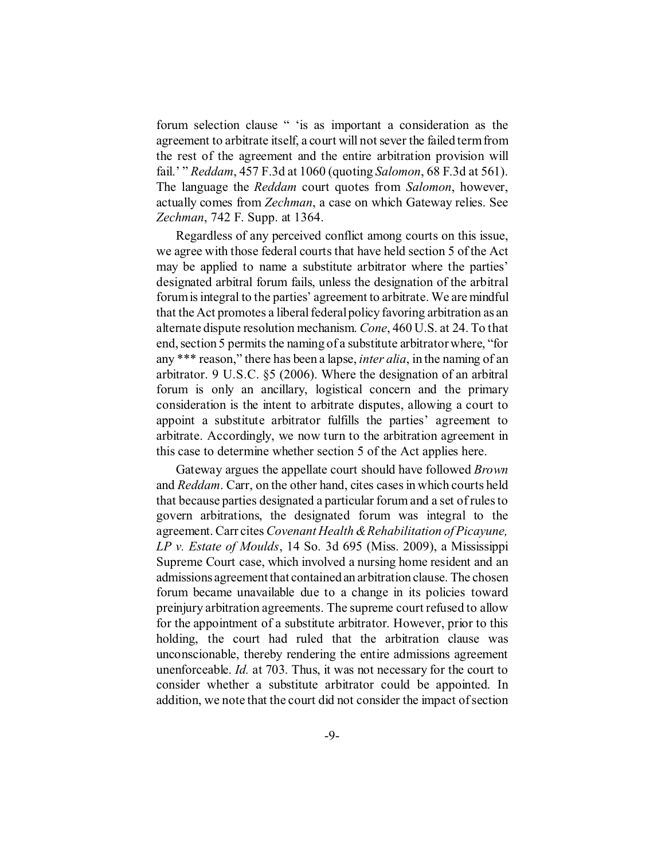forum selection clause " 'is as important a consideration as the agreement to arbitrate itself, a court will not sever the failed term from the rest of the agreement and the entire arbitration provision will fail.' " *Reddam*, 457 F.3d at 1060 (quoting *Salomon*, 68 F.3d at 561). The language the *Reddam* court quotes from *Salomon*, however, actually comes from *Zechman*, a case on which Gateway relies. See *Zechman*, 742 F. Supp. at 1364.

Regardless of any perceived conflict among courts on this issue, we agree with those federal courts that have held section 5 of the Act may be applied to name a substitute arbitrator where the parties' designated arbitral forum fails, unless the designation of the arbitral forum is integral to the parties' agreement to arbitrate. We are mindful that the Act promotes a liberal federal policy favoring arbitration as an alternate dispute resolution mechanism. *Cone*, 460 U.S. at 24. To that end, section 5 permits the naming of a substitute arbitrator where, "for any \*\*\* reason," there has been a lapse, *inter alia*, in the naming of an arbitrator. 9 U.S.C. §5 (2006). Where the designation of an arbitral forum is only an ancillary, logistical concern and the primary consideration is the intent to arbitrate disputes, allowing a court to appoint a substitute arbitrator fulfills the parties' agreement to arbitrate. Accordingly, we now turn to the arbitration agreement in this case to determine whether section 5 of the Act applies here.

Gateway argues the appellate court should have followed *Brown* and *Reddam*. Carr, on the other hand, cites cases in which courts held that because parties designated a particular forum and a set of rules to govern arbitrations, the designated forum was integral to the agreement. Carr cites *Covenant Health & Rehabilitation of Picayune, LP v. Estate of Moulds*, 14 So. 3d 695 (Miss. 2009), a Mississippi Supreme Court case, which involved a nursing home resident and an admissions agreement that contained an arbitration clause. The chosen forum became unavailable due to a change in its policies toward preinjury arbitration agreements. The supreme court refused to allow for the appointment of a substitute arbitrator. However, prior to this holding, the court had ruled that the arbitration clause was unconscionable, thereby rendering the entire admissions agreement unenforceable. *Id.* at 703. Thus, it was not necessary for the court to consider whether a substitute arbitrator could be appointed. In addition, we note that the court did not consider the impact of section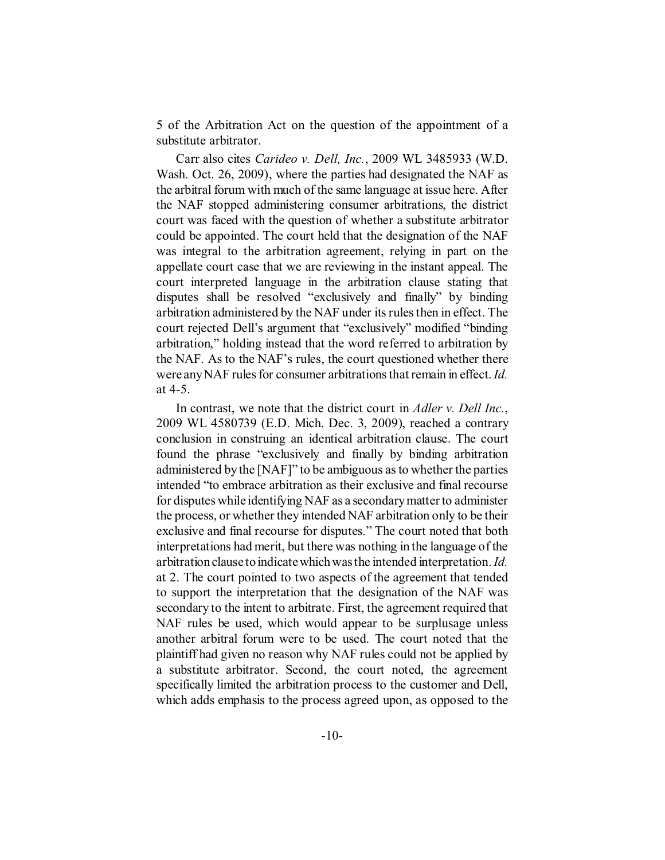5 of the Arbitration Act on the question of the appointment of a substitute arbitrator.

Carr also cites *Carideo v. Dell, Inc.*, 2009 WL 3485933 (W.D. Wash. Oct. 26, 2009), where the parties had designated the NAF as the arbitral forum with much of the same language at issue here. After the NAF stopped administering consumer arbitrations, the district court was faced with the question of whether a substitute arbitrator could be appointed. The court held that the designation of the NAF was integral to the arbitration agreement, relying in part on the appellate court case that we are reviewing in the instant appeal. The court interpreted language in the arbitration clause stating that disputes shall be resolved "exclusively and finally" by binding arbitration administered by the NAF under its rules then in effect. The court rejected Dell's argument that "exclusively" modified "binding arbitration," holding instead that the word referred to arbitration by the NAF. As to the NAF's rules, the court questioned whether there were any NAF rules for consumer arbitrations that remain in effect. *Id.* at 4-5.

In contrast, we note that the district court in *Adler v. Dell Inc.*, 2009 WL 4580739 (E.D. Mich. Dec. 3, 2009), reached a contrary conclusion in construing an identical arbitration clause. The court found the phrase "exclusively and finally by binding arbitration administered by the [NAF]" to be ambiguous as to whether the parties intended "to embrace arbitration as their exclusive and final recourse for disputes while identifying NAF as a secondary matter to administer the process, or whether they intended NAF arbitration only to be their exclusive and final recourse for disputes." The court noted that both interpretations had merit, but there was nothing in the language of the arbitration clause to indicate which was the intended interpretation. *Id.* at 2. The court pointed to two aspects of the agreement that tended to support the interpretation that the designation of the NAF was secondary to the intent to arbitrate. First, the agreement required that NAF rules be used, which would appear to be surplusage unless another arbitral forum were to be used. The court noted that the plaintiff had given no reason why NAF rules could not be applied by a substitute arbitrator. Second, the court noted, the agreement specifically limited the arbitration process to the customer and Dell, which adds emphasis to the process agreed upon, as opposed to the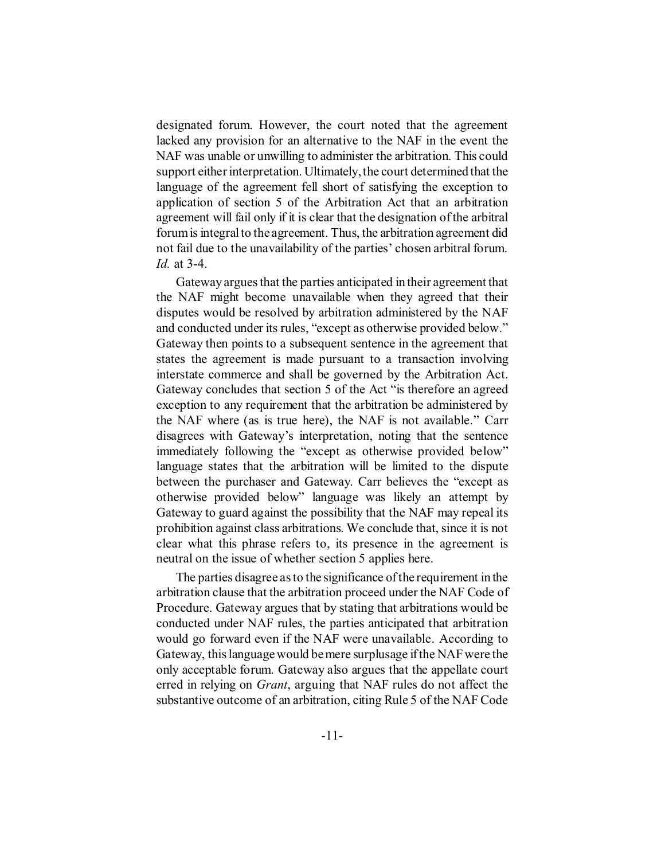designated forum. However, the court noted that the agreement lacked any provision for an alternative to the NAF in the event the NAF was unable or unwilling to administer the arbitration. This could support either interpretation. Ultimately, the court determined that the language of the agreement fell short of satisfying the exception to application of section 5 of the Arbitration Act that an arbitration agreement will fail only if it is clear that the designation of the arbitral forum is integral to the agreement. Thus, the arbitration agreement did not fail due to the unavailability of the parties' chosen arbitral forum. *Id.* at 3-4.

Gateway argues that the parties anticipated in their agreement that the NAF might become unavailable when they agreed that their disputes would be resolved by arbitration administered by the NAF and conducted under its rules, "except as otherwise provided below." Gateway then points to a subsequent sentence in the agreement that states the agreement is made pursuant to a transaction involving interstate commerce and shall be governed by the Arbitration Act. Gateway concludes that section 5 of the Act "is therefore an agreed exception to any requirement that the arbitration be administered by the NAF where (as is true here), the NAF is not available." Carr disagrees with Gateway's interpretation, noting that the sentence immediately following the "except as otherwise provided below" language states that the arbitration will be limited to the dispute between the purchaser and Gateway. Carr believes the "except as otherwise provided below" language was likely an attempt by Gateway to guard against the possibility that the NAF may repeal its prohibition against class arbitrations. We conclude that, since it is not clear what this phrase refers to, its presence in the agreement is neutral on the issue of whether section 5 applies here.

The parties disagree as to the significance of the requirement in the arbitration clause that the arbitration proceed under the NAF Code of Procedure. Gateway argues that by stating that arbitrations would be conducted under NAF rules, the parties anticipated that arbitration would go forward even if the NAF were unavailable. According to Gateway, this language would be mere surplusage if the NAF were the only acceptable forum. Gateway also argues that the appellate court erred in relying on *Grant*, arguing that NAF rules do not affect the substantive outcome of an arbitration, citing Rule 5 of the NAF Code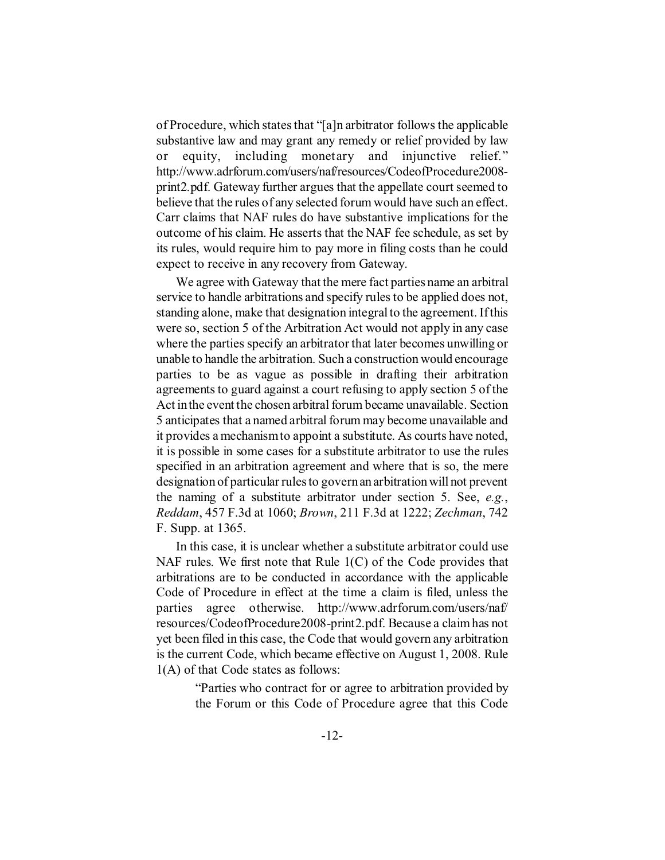of Procedure, which states that "[a]n arbitrator follows the applicable substantive law and may grant any remedy or relief provided by law or equity, including monetary and injunctive relief." http://www.adrforum.com/users/naf/resources/CodeofProcedure2008 print2.pdf. Gateway further argues that the appellate court seemed to believe that the rules of any selected forum would have such an effect. Carr claims that NAF rules do have substantive implications for the outcome of his claim. He asserts that the NAF fee schedule, as set by its rules, would require him to pay more in filing costs than he could expect to receive in any recovery from Gateway.

We agree with Gateway that the mere fact parties name an arbitral service to handle arbitrations and specify rules to be applied does not, standing alone, make that designation integral to the agreement. If this were so, section 5 of the Arbitration Act would not apply in any case where the parties specify an arbitrator that later becomes unwilling or unable to handle the arbitration. Such a construction would encourage parties to be as vague as possible in drafting their arbitration agreements to guard against a court refusing to apply section 5 of the Act in the event the chosen arbitral forum became unavailable. Section 5 anticipates that a named arbitral forum may become unavailable and it provides a mechanism to appoint a substitute. As courts have noted, it is possible in some cases for a substitute arbitrator to use the rules specified in an arbitration agreement and where that is so, the mere designation of particular rules to govern an arbitration will not prevent the naming of a substitute arbitrator under section 5. See, *e.g.*, *Reddam*, 457 F.3d at 1060; *Brown*, 211 F.3d at 1222; *Zechman*, 742 F. Supp. at 1365.

In this case, it is unclear whether a substitute arbitrator could use NAF rules. We first note that Rule 1(C) of the Code provides that arbitrations are to be conducted in accordance with the applicable Code of Procedure in effect at the time a claim is filed, unless the parties agree otherwise. http://www.adrforum.com/users/naf/ resources/CodeofProcedure2008-print2.pdf. Because a claim has not yet been filed in this case, the Code that would govern any arbitration is the current Code, which became effective on August 1, 2008. Rule 1(A) of that Code states as follows:

> "Parties who contract for or agree to arbitration provided by the Forum or this Code of Procedure agree that this Code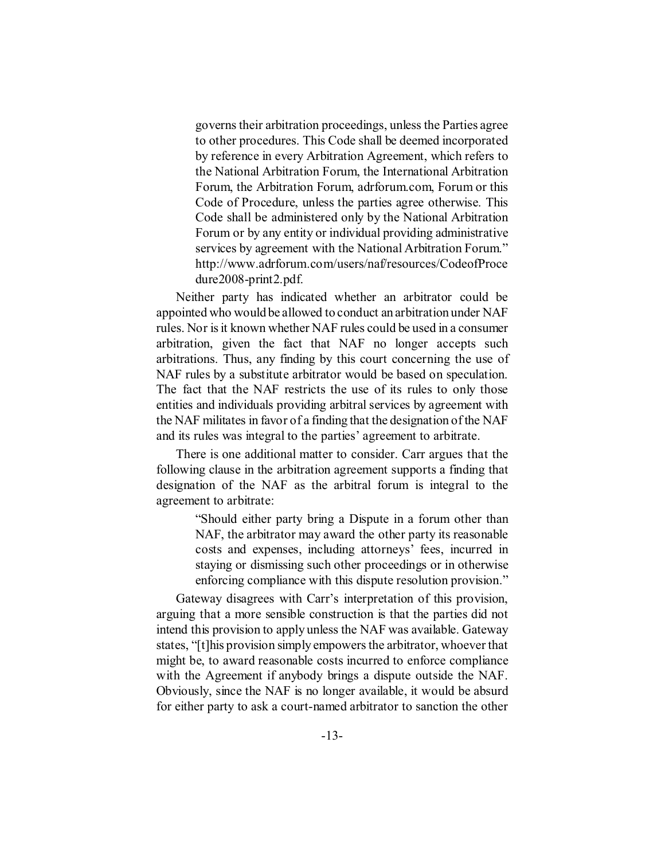governs their arbitration proceedings, unless the Parties agree to other procedures. This Code shall be deemed incorporated by reference in every Arbitration Agreement, which refers to the National Arbitration Forum, the International Arbitration Forum, the Arbitration Forum, adrforum.com, Forum or this Code of Procedure, unless the parties agree otherwise. This Code shall be administered only by the National Arbitration Forum or by any entity or individual providing administrative services by agreement with the National Arbitration Forum." http://www.adrforum.com/users/naf/resources/CodeofProce dure2008-print2.pdf.

Neither party has indicated whether an arbitrator could be appointed who would be allowed to conduct an arbitration under NAF rules. Nor is it known whether NAF rules could be used in a consumer arbitration, given the fact that NAF no longer accepts such arbitrations. Thus, any finding by this court concerning the use of NAF rules by a substitute arbitrator would be based on speculation. The fact that the NAF restricts the use of its rules to only those entities and individuals providing arbitral services by agreement with the NAF militates in favor of a finding that the designation of the NAF and its rules was integral to the parties' agreement to arbitrate.

There is one additional matter to consider. Carr argues that the following clause in the arbitration agreement supports a finding that designation of the NAF as the arbitral forum is integral to the agreement to arbitrate:

> "Should either party bring a Dispute in a forum other than NAF, the arbitrator may award the other party its reasonable costs and expenses, including attorneys' fees, incurred in staying or dismissing such other proceedings or in otherwise enforcing compliance with this dispute resolution provision."

Gateway disagrees with Carr's interpretation of this provision, arguing that a more sensible construction is that the parties did not intend this provision to apply unless the NAF was available. Gateway states, "[t]his provision simply empowers the arbitrator, whoever that might be, to award reasonable costs incurred to enforce compliance with the Agreement if anybody brings a dispute outside the NAF. Obviously, since the NAF is no longer available, it would be absurd for either party to ask a court-named arbitrator to sanction the other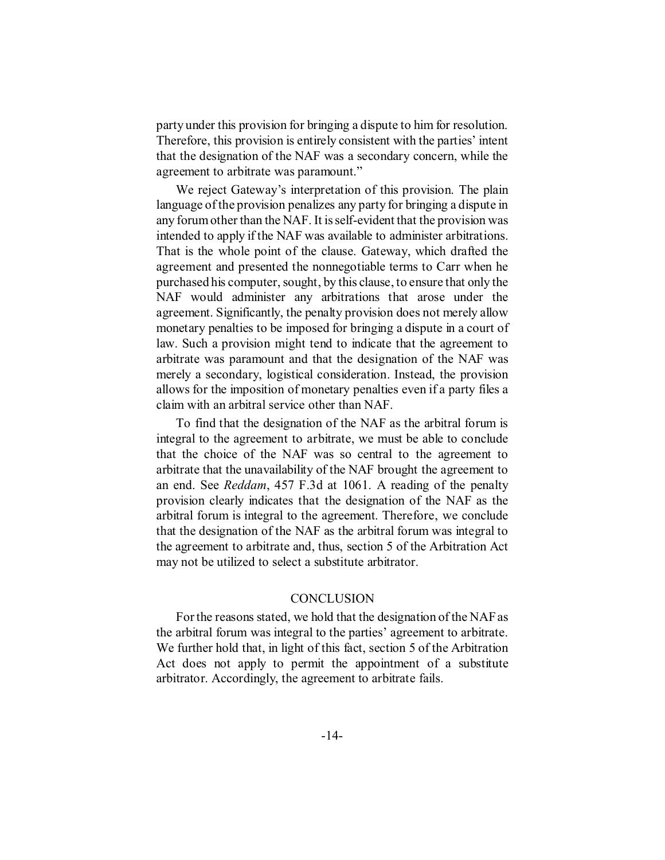party under this provision for bringing a dispute to him for resolution. Therefore, this provision is entirely consistent with the parties' intent that the designation of the NAF was a secondary concern, while the agreement to arbitrate was paramount."

We reject Gateway's interpretation of this provision. The plain language of the provision penalizes any party for bringing a dispute in any forum other than the NAF. It is self-evident that the provision was intended to apply if the NAF was available to administer arbitrations. That is the whole point of the clause. Gateway, which drafted the agreement and presented the nonnegotiable terms to Carr when he purchased his computer, sought, by this clause, to ensure that only the NAF would administer any arbitrations that arose under the agreement. Significantly, the penalty provision does not merely allow monetary penalties to be imposed for bringing a dispute in a court of law. Such a provision might tend to indicate that the agreement to arbitrate was paramount and that the designation of the NAF was merely a secondary, logistical consideration. Instead, the provision allows for the imposition of monetary penalties even if a party files a claim with an arbitral service other than NAF.

To find that the designation of the NAF as the arbitral forum is integral to the agreement to arbitrate, we must be able to conclude that the choice of the NAF was so central to the agreement to arbitrate that the unavailability of the NAF brought the agreement to an end. See *Reddam*, 457 F.3d at 1061. A reading of the penalty provision clearly indicates that the designation of the NAF as the arbitral forum is integral to the agreement. Therefore, we conclude that the designation of the NAF as the arbitral forum was integral to the agreement to arbitrate and, thus, section 5 of the Arbitration Act may not be utilized to select a substitute arbitrator.

### **CONCLUSION**

For the reasons stated, we hold that the designation of the NAF as the arbitral forum was integral to the parties' agreement to arbitrate. We further hold that, in light of this fact, section 5 of the Arbitration Act does not apply to permit the appointment of a substitute arbitrator. Accordingly, the agreement to arbitrate fails.